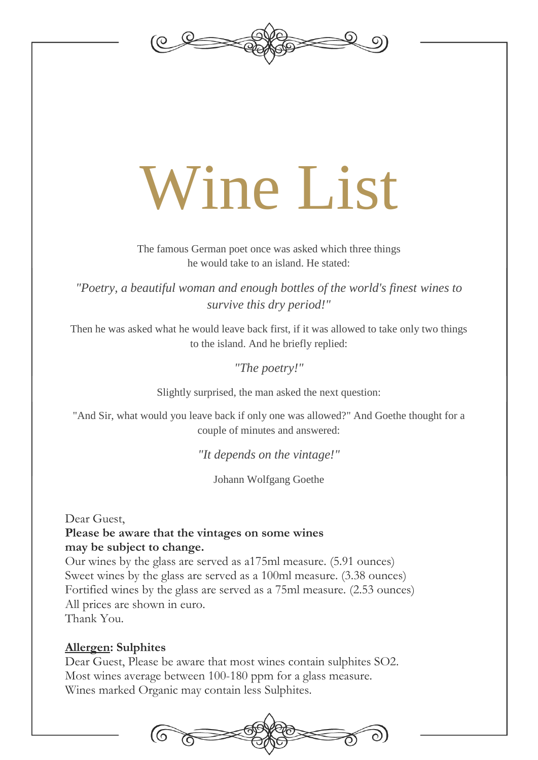

# Wine List

The famous German poet once was asked which three things he would take to an island. He stated:

*"Poetry, a beautiful woman and enough bottles of the world's finest wines to survive this dry period!"*

Then he was asked what he would leave back first, if it was allowed to take only two things to the island. And he briefly replied:

*"The poetry!"*

Slightly surprised, the man asked the next question:

"And Sir, what would you leave back if only one was allowed?" And Goethe thought for a couple of minutes and answered:

*"It depends on the vintage!"*

Johann Wolfgang Goethe

Dear Guest,

## **Please be aware that the vintages on some wines may be subject to change.**

Our wines by the glass are served as a175ml measure. (5.91 ounces) Sweet wines by the glass are served as a 100ml measure. (3.38 ounces) Fortified wines by the glass are served as a 75ml measure. (2.53 ounces) All prices are shown in euro. Thank You.

## **Allergen: Sulphites**

Dear Guest, Please be aware that most wines contain sulphites SO2. Most wines average between 100-180 ppm for a glass measure. Wines marked Organic may contain less Sulphites.

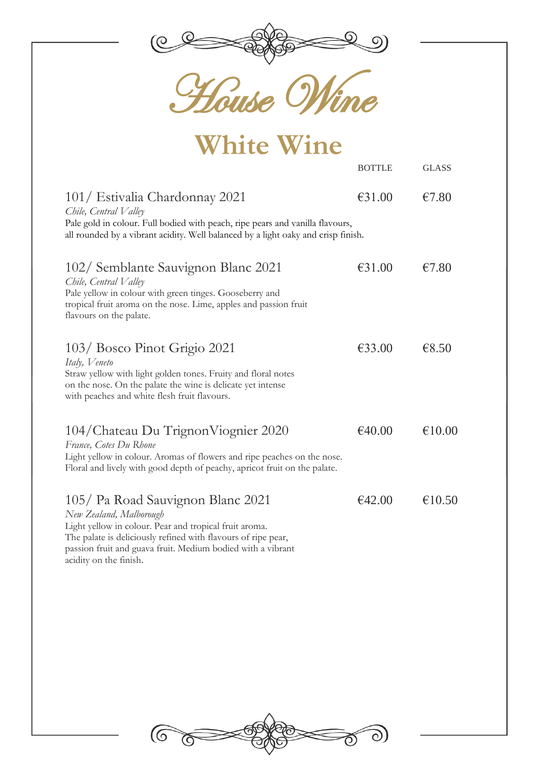

)<br>VIIke

| <b>White Wine</b>                                                                                                                                                                                                             |               |              |  |  |
|-------------------------------------------------------------------------------------------------------------------------------------------------------------------------------------------------------------------------------|---------------|--------------|--|--|
|                                                                                                                                                                                                                               | <b>BOTTLE</b> | <b>GLASS</b> |  |  |
| 101/ Estivalia Chardonnay 2021<br>Chile, Central Valley<br>Pale gold in colour. Full bodied with peach, ripe pears and vanilla flavours,<br>all rounded by a vibrant acidity. Well balanced by a light oaky and crisp finish. | €31.00        | €7.80        |  |  |
| 102/ Semblante Sauvignon Blanc 2021<br>Chile, Central Valley<br>Pale yellow in colour with green tinges. Gooseberry and<br>tropical fruit aroma on the nose. Lime, apples and passion fruit<br>flavours on the palate.        | €31.00        | €7.80        |  |  |
| 103/ Bosco Pinot Grigio 2021<br>Italy, Veneto<br>Straw yellow with light golden tones. Fruity and floral notes<br>on the nose. On the palate the wine is delicate yet intense<br>with peaches and white flesh fruit flavours. | €33.00        | €8.50        |  |  |
| 104/Chateau Du Trignon Viognier 2020<br>France, Cotes Du Rhone<br>Light yellow in colour. Aromas of flowers and ripe peaches on the nose.<br>Floral and lively with good depth of peachy, apricot fruit on the palate.        | €40.00        | €10.00       |  |  |
| 105/ Pa Road Sauvignon Blanc 2021<br>New Zealand, Malborough<br>Light yellow in colour. Pear and tropical fruit aroma.<br>The palate is deliciously refined with flavours of ripe pear,                                       | €42.00        | €10.50       |  |  |

passion fruit and guava fruit. Medium bodied with a vibrant acidity on the finish.

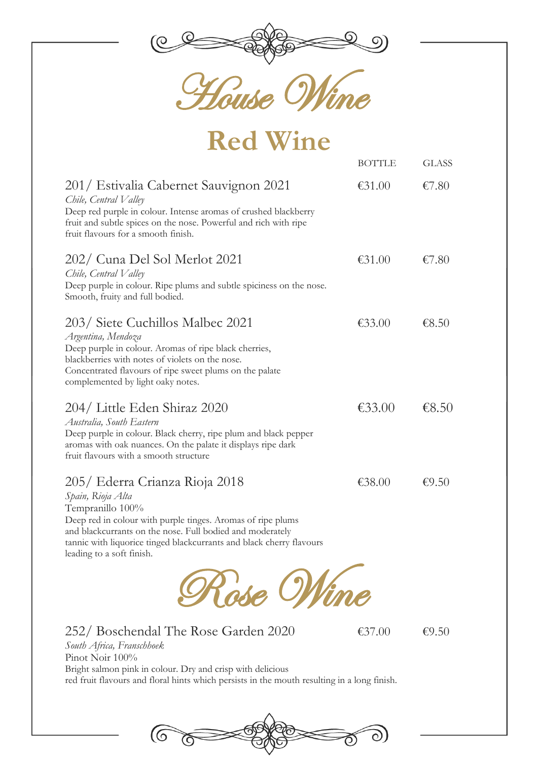

House Wine

## **Red Wine**

|                                                                                                                                                                                                                                                                                                          | <b>BOTTLE</b> | <b>GLASS</b> |
|----------------------------------------------------------------------------------------------------------------------------------------------------------------------------------------------------------------------------------------------------------------------------------------------------------|---------------|--------------|
| 201/ Estivalia Cabernet Sauvignon 2021<br>Chile, Central Valley<br>Deep red purple in colour. Intense aromas of crushed blackberry<br>fruit and subtle spices on the nose. Powerful and rich with ripe<br>fruit flavours for a smooth finish.                                                            | €31.00        | €7.80        |
| 202/ Cuna Del Sol Merlot 2021<br>Chile, Central Valley<br>Deep purple in colour. Ripe plums and subtle spiciness on the nose.<br>Smooth, fruity and full bodied.                                                                                                                                         | €31.00        | €7.80        |
| 203/ Siete Cuchillos Malbec 2021<br>Argentina, Mendoza<br>Deep purple in colour. Aromas of ripe black cherries,<br>blackberries with notes of violets on the nose.<br>Concentrated flavours of ripe sweet plums on the palate<br>complemented by light oaky notes.                                       | €33.00        | €8.50        |
| 204/ Little Eden Shiraz 2020<br>Australia, South Eastern<br>Deep purple in colour. Black cherry, ripe plum and black pepper<br>aromas with oak nuances. On the palate it displays ripe dark<br>fruit flavours with a smooth structure                                                                    | €33.00        | € $8.50$     |
| 205/ Ederra Crianza Rioja 2018<br>Spain, Rioja Alta<br>Tempranillo 100%<br>Deep red in colour with purple tinges. Aromas of ripe plums<br>and blackcurrants on the nose. Full bodied and moderately<br>tannic with liquorice tinged blackcurrants and black cherry flavours<br>leading to a soft finish. | €38.00        | €9.50        |
|                                                                                                                                                                                                                                                                                                          |               |              |

252/ Boschendal The Rose Garden 2020  $\epsilon$ 37.00  $\epsilon$ 9.50 *South Africa, Franschhoek* Pinot Noir  $100\%$ Bright salmon pink in colour. Dry and crisp with delicious red fruit flavours and floral hints which persists in the mouth resulting in a long finish.

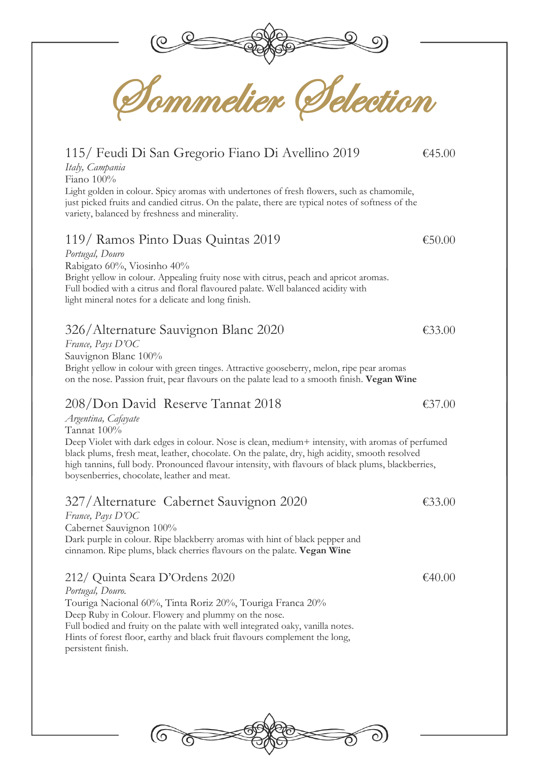

Sommelier Selection

## 115/ Feudi Di San Gregorio Fiano Di Avellino 2019 €45.00

*Italy, Campania*

Fiano 100%

Light golden in colour. Spicy aromas with undertones of fresh flowers, such as chamomile, just picked fruits and candied citrus. On the palate, there are typical notes of softness of the variety, balanced by freshness and minerality.

## 119/ Ramos Pinto Duas Quintas 2019 €50.00

*Portugal, Douro* Rabigato 60%, Viosinho 40% Bright yellow in colour. Appealing fruity nose with citrus, peach and apricot aromas. Full bodied with a citrus and floral flavoured palate. Well balanced acidity with light mineral notes for a delicate and long finish.

## 326/Alternature Sauvignon Blanc 2020 €33.00

*France, Pays D'OC* Sauvignon Blanc 100% Bright yellow in colour with green tinges. Attractive gooseberry, melon, ripe pear aromas on the nose. Passion fruit, pear flavours on the palate lead to a smooth finish. **Vegan Wine**

## 208/Don David Reserve Tannat 2018 €37.00

*Argentina, Cafayate*

Tannat 100%

Deep Violet with dark edges in colour. Nose is clean, medium+ intensity, with aromas of perfumed black plums, fresh meat, leather, chocolate. On the palate, dry, high acidity, smooth resolved high tannins, full body. Pronounced flavour intensity, with flavours of black plums, blackberries, boysenberries, chocolate, leather and meat.

## 327/Alternature Cabernet Sauvignon 2020 €33.00

*France, Pays D'OC*

Cabernet Sauvignon 100% Dark purple in colour. Ripe blackberry aromas with hint of black pepper and cinnamon. Ripe plums, black cherries flavours on the palate. **Vegan Wine**

## 212/ Quinta Seara D'Ordens 2020 €40.00

*Portugal, Douro.* Touriga Nacional 60%, Tinta Roriz 20%, Touriga Franca 20% Deep Ruby in Colour. Flowery and plummy on the nose. Full bodied and fruity on the palate with well integrated oaky, vanilla notes. Hints of forest floor, earthy and black fruit flavours complement the long, persistent finish.

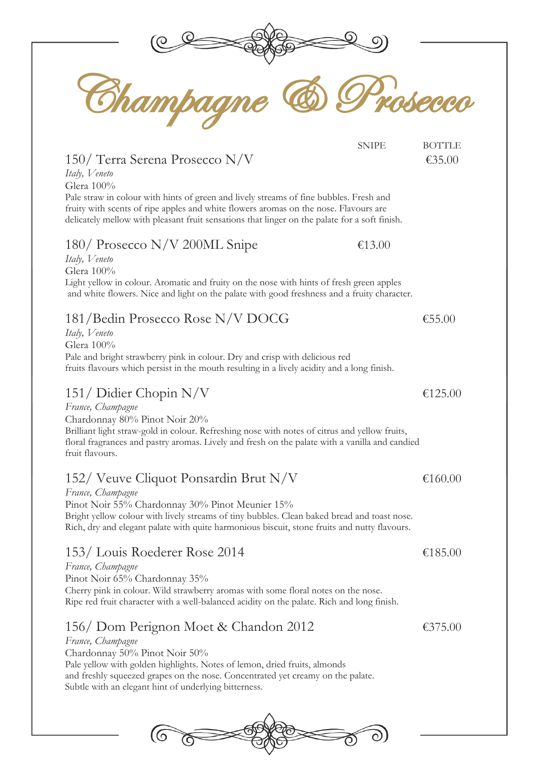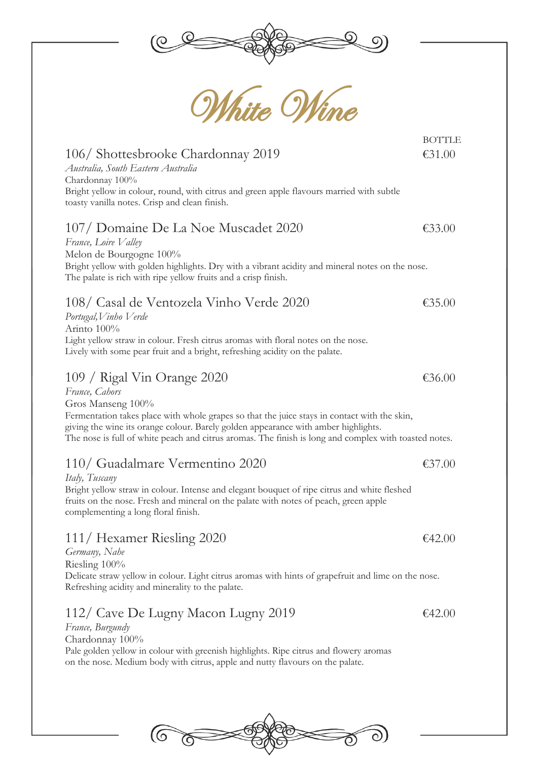



## 106/ Shottesbrooke Chardonnay 2019 €31.00 *Australia, South Eastern Australia* Chardonnay 100% Bright yellow in colour, round, with citrus and green apple flavours married with subtle toasty vanilla notes. Crisp and clean finish. 107/ Domaine De La Noe Muscadet 2020 €33.00 *France, Loire Valley* Melon de Bourgogne 100% Bright yellow with golden highlights. Dry with a vibrant acidity and mineral notes on the nose. The palate is rich with ripe yellow fruits and a crisp finish. 108/ Casal de Ventozela Vinho Verde 2020 €35.00 *Portugal,Vinho Verde* Arinto 100% Light yellow straw in colour. Fresh citrus aromas with floral notes on the nose. Lively with some pear fruit and a bright, refreshing acidity on the palate.  $109 /$  Rigal Vin Orange 2020  $\epsilon$ 36.00 *France, Cahors* Gros Manseng 100%

Fermentation takes place with whole grapes so that the juice stays in contact with the skin, giving the wine its orange colour. Barely golden appearance with amber highlights. The nose is full of white peach and citrus aromas. The finish is long and complex with toasted notes.

## 110/ Guadalmare Vermentino 2020 €37.00

*Italy, Tuscany* Bright yellow straw in colour. Intense and elegant bouquet of ripe citrus and white fleshed fruits on the nose. Fresh and mineral on the palate with notes of peach, green apple

complementing a long floral finish.

## 111/ Hexamer Riesling 2020  $\epsilon$ 42.00

## *Germany, Nahe*

Riesling 100%

Delicate straw yellow in colour. Light citrus aromas with hints of grapefruit and lime on the nose. Refreshing acidity and minerality to the palate.

## 112/ Cave De Lugny Macon Lugny 2019  $\epsilon$ 42.00

*France, Burgundy* Chardonnay 100% Pale golden yellow in colour with greenish highlights. Ripe citrus and flowery aromas on the nose. Medium body with citrus, apple and nutty flavours on the palate.



**BOTTLE**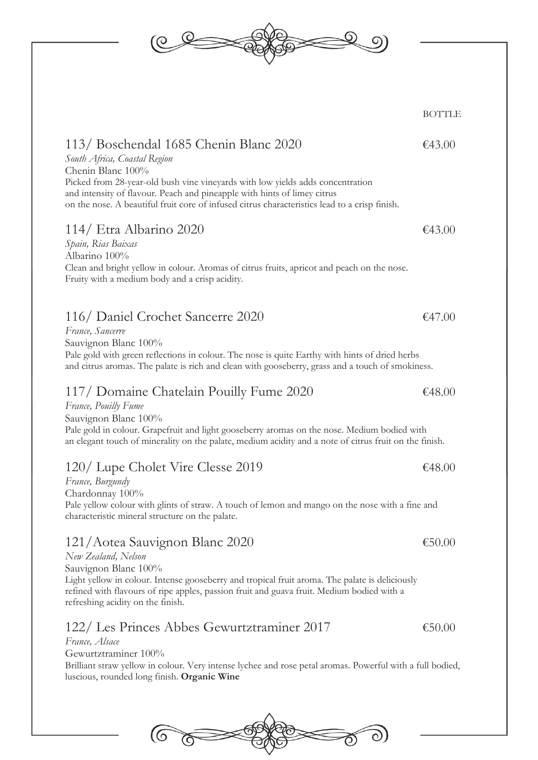

## 122/ Les Princes Abbes Gewurtztraminer 2017 €50.00

### *France, Alsace*

Gewurtztraminer 100%

Brilliant straw yellow in colour. Very intense lychee and rose petal aromas. Powerful with a full bodied, luscious, rounded long finish. **Organic Wine**

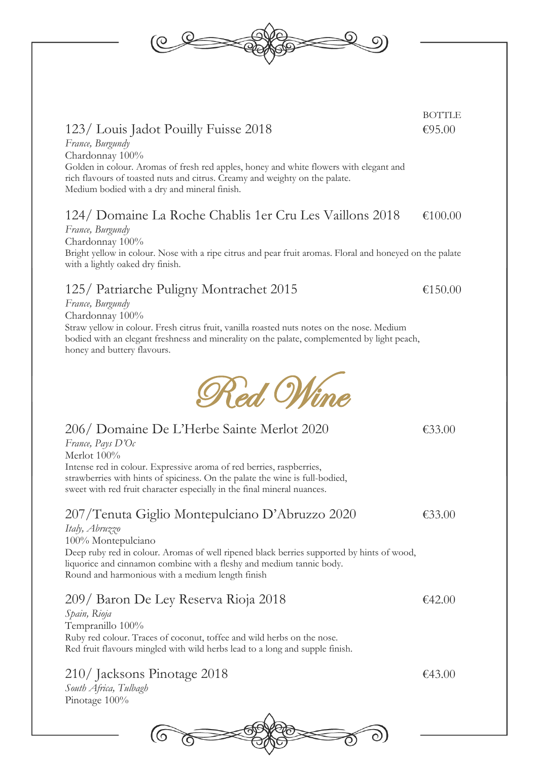## 123/ Louis Jadot Pouilly Fuisse 2018  $\epsilon$ 95.00

*France, Burgundy* Chardonnay 100%

Golden in colour. Aromas of fresh red apples, honey and white flowers with elegant and rich flavours of toasted nuts and citrus. Creamy and weighty on the palate. Medium bodied with a dry and mineral finish.

## 124/ Domaine La Roche Chablis 1er Cru Les Vaillons 2018 €100.00

## *France, Burgundy*

Chardonnay 100%

Bright yellow in colour. Nose with a ripe citrus and pear fruit aromas. Floral and honeyed on the palate with a lightly oaked dry finish.

Red Wine

## 125/ Patriarche Puligny Montrachet 2015 €150.00

*France, Burgundy*

*France, Pays D'Oc*

Chardonnay 100%

Straw yellow in colour. Fresh citrus fruit, vanilla roasted nuts notes on the nose. Medium bodied with an elegant freshness and minerality on the palate, complemented by light peach, honey and buttery flavours.



## 207/Tenuta Giglio Montepulciano D'Abruzzo 2020 €33.00

*Italy, Abruzzo* 100% Montepulciano Deep ruby red in colour. Aromas of well ripened black berries supported by hints of wood, liquorice and cinnamon combine with a fleshy and medium tannic body. Round and harmonious with a medium length finish

## 209/ Baron De Ley Reserva Rioja 2018  $\epsilon$ 42.00

*Spain, Rioja* Tempranillo 100% Ruby red colour. Traces of coconut, toffee and wild herbs on the nose. Red fruit flavours mingled with wild herbs lead to a long and supple finish.

210/ Jacksons Pinotage 2018  $\epsilon$ 43.00

*South Africa, Tulbagh* Pinotage 100%



**BOTTLE** 

206/ Domaine De L'Herbe Sainte Merlot 2020 €33.00



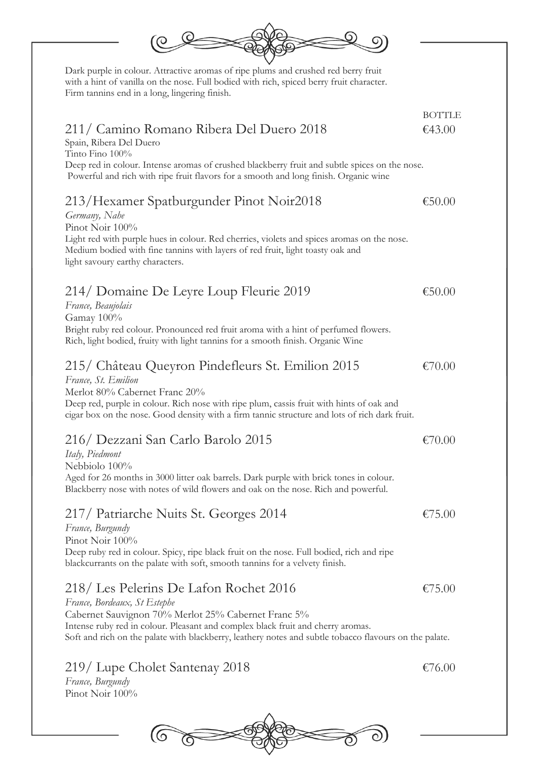| Dark purple in colour. Attractive aromas of ripe plums and crushed red berry fruit<br>with a hint of vanilla on the nose. Full bodied with rich, spiced berry fruit character.<br>Firm tannins end in a long, lingering finish.                                                                                            |                         |
|----------------------------------------------------------------------------------------------------------------------------------------------------------------------------------------------------------------------------------------------------------------------------------------------------------------------------|-------------------------|
| 211/ Camino Romano Ribera Del Duero 2018<br>Spain, Ribera Del Duero<br>Tinto Fino 100%<br>Deep red in colour. Intense aromas of crushed blackberry fruit and subtle spices on the nose.<br>Powerful and rich with ripe fruit flavors for a smooth and long finish. Organic wine                                            | <b>BOTTLE</b><br>€43.00 |
| 213/Hexamer Spatburgunder Pinot Noir2018<br>Germany, Nahe<br>Pinot Noir 100%<br>Light red with purple hues in colour. Red cherries, violets and spices aromas on the nose.<br>Medium bodied with fine tannins with layers of red fruit, light toasty oak and<br>light savoury earthy characters.                           | €50.00                  |
| 214/ Domaine De Leyre Loup Fleurie 2019<br>France, Beaujolais<br>Gamay 100%<br>Bright ruby red colour. Pronounced red fruit aroma with a hint of perfumed flowers.<br>Rich, light bodied, fruity with light tannins for a smooth finish. Organic Wine                                                                      | €50.00                  |
| 215/ Château Queyron Pindefleurs St. Emilion 2015<br>France, St. Emilion<br>Merlot 80% Cabernet Franc 20%<br>Deep red, purple in colour. Rich nose with ripe plum, cassis fruit with hints of oak and<br>cigar box on the nose. Good density with a firm tannic structure and lots of rich dark fruit.                     | €70.00                  |
| 216/ Dezzani San Carlo Barolo 2015<br>Italy, Piedmont<br>Nebbiolo 100%<br>Aged for 26 months in 3000 litter oak barrels. Dark purple with brick tones in colour.<br>Blackberry nose with notes of wild flowers and oak on the nose. Rich and powerful.                                                                     | €70.00                  |
| 217/ Patriarche Nuits St. Georges 2014<br>France, Burgundy<br>Pinot Noir 100%<br>Deep ruby red in colour. Spicy, ripe black fruit on the nose. Full bodied, rich and ripe<br>blackcurrants on the palate with soft, smooth tannins for a velvety finish.                                                                   | €75.00                  |
| 218/ Les Pelerins De Lafon Rochet 2016<br>France, Bordeaux, St Estephe<br>Cabernet Sauvignon 70% Merlot 25% Cabernet Franc 5%<br>Intense ruby red in colour. Pleasant and complex black fruit and cherry aromas.<br>Soft and rich on the palate with blackberry, leathery notes and subtle tobacco flavours on the palate. | €75.00                  |
| 219/ Lupe Cholet Santenay 2018<br>France, Burgundy<br>Pinot Noir 100%                                                                                                                                                                                                                                                      | €76.00                  |
|                                                                                                                                                                                                                                                                                                                            |                         |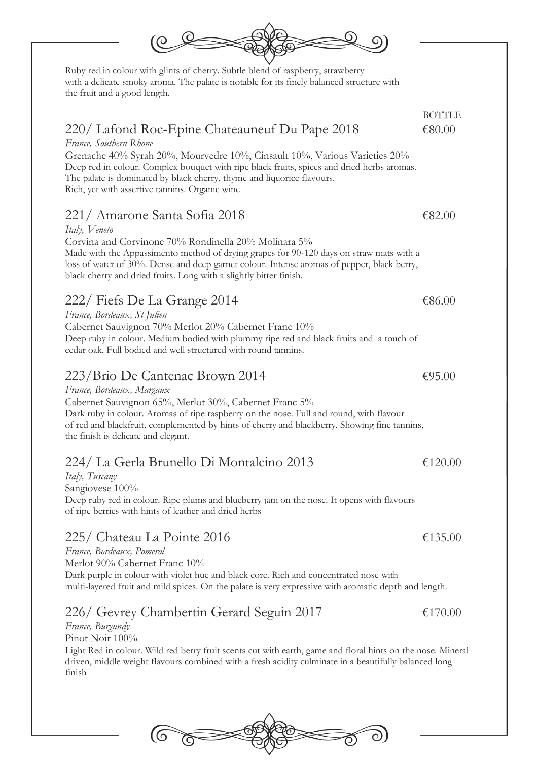

*France, Bordeaux, Margaux* Cabernet Sauvignon 65%, Merlot 30%, Cabernet Franc 5% Dark ruby in colour. Aromas of ripe raspberry on the nose. Full and round, with flavour of red and blackfruit, complemented by hints of cherry and blackberry. Showing fine tannins, the finish is delicate and elegant.

## 224/ La Gerla Brunello Di Montalcino 2013 €120.00

*Italy, Tuscany* Sangiovese 100% Deep ruby red in colour. Ripe plums and blueberry jam on the nose. It opens with flavours of ripe berries with hints of leather and dried herbs

## 225/ Chateau La Pointe 2016  $\epsilon$ 135.00

*France, Bordeaux, Pomerol* Merlot 90% Cabernet Franc 10% Dark purple in colour with violet hue and black core. Rich and concentrated nose with multi-layered fruit and mild spices. On the palate is very expressive with aromatic depth and length.

## 226/ Gevrey Chambertin Gerard Seguin 2017 €170.00 *France, Burgundy*

Pinot Noir 100% Light Red in colour. Wild red berry fruit scents cut with earth, game and floral hints on the nose. Mineral driven, middle weight flavours combined with a fresh acidity culminate in a beautifully balanced long finish



Ruby red in colour with glints of cherry. Subtle blend of raspberry, strawberry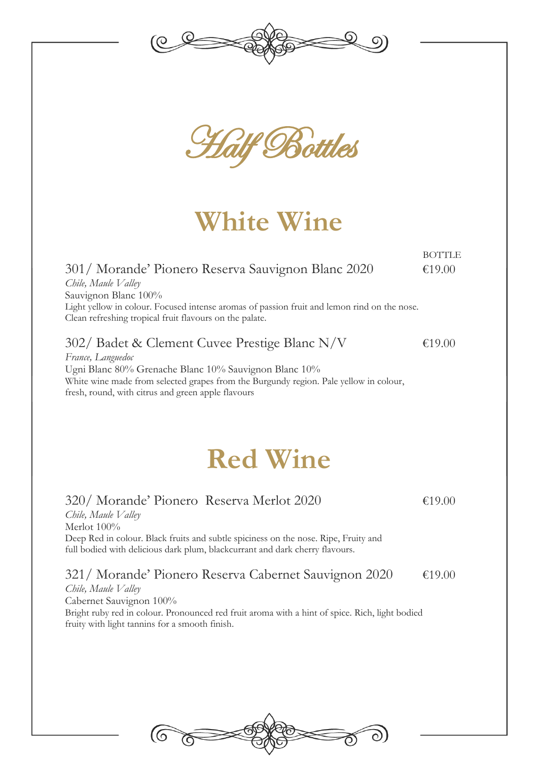



**White Wine**

**BOTTLE** 301/ Morande' Pionero Reserva Sauvignon Blanc 2020 €19.00 *Chile, Maule Valley* Sauvignon Blanc 100% Light yellow in colour. Focused intense aromas of passion fruit and lemon rind on the nose. Clean refreshing tropical fruit flavours on the palate.

## 302/ Badet & Clement Cuvee Prestige Blanc N/V  $\epsilon$ 19.00

*France, Languedoc* Ugni Blanc 80% Grenache Blanc 10% Sauvignon Blanc 10% White wine made from selected grapes from the Burgundy region. Pale yellow in colour, fresh, round, with citrus and green apple flavours

# **Red Wine**

## 320/ Morande' Pionero Reserva Merlot 2020 €19.00

*Chile, Maule Valley*  Merlot 100% Deep Red in colour. Black fruits and subtle spiciness on the nose. Ripe, Fruity and full bodied with delicious dark plum, blackcurrant and dark cherry flavours.

321/ Morande' Pionero Reserva Cabernet Sauvignon 2020 €19.00

*Chile, Maule Valley*  Cabernet Sauvignon 100% Bright ruby red in colour. Pronounced red fruit aroma with a hint of spice. Rich, light bodied fruity with light tannins for a smooth finish.

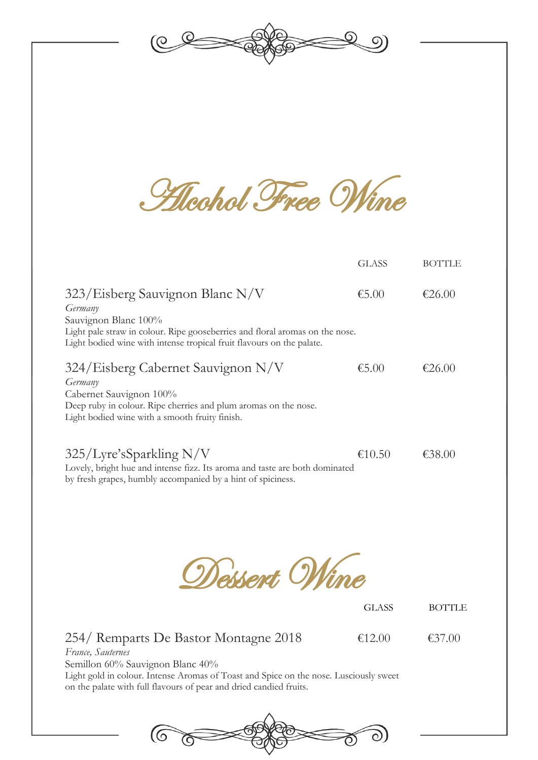

**Alcohol Free Wine** 

|                                                                                                                                                                                                                             | <b>GLASS</b> | <b>BOTTLE</b> |
|-----------------------------------------------------------------------------------------------------------------------------------------------------------------------------------------------------------------------------|--------------|---------------|
| 323/Eisberg Sauvignon Blanc N/V<br>Germany<br>Sauvignon Blanc 100%<br>Light pale straw in colour. Ripe gooseberries and floral aromas on the nose.<br>Light bodied wine with intense tropical fruit flavours on the palate. | €5.00        | €26.00        |
| 324/Eisberg Cabernet Sauvignon N/V<br>Germany<br>Cabernet Sauvignon 100%<br>Deep ruby in colour. Ripe cherries and plum aromas on the nose.<br>Light bodied wine with a smooth fruity finish.                               | €5.00        | €26.00        |
| $325/L$ yre's Sparkling N/V<br>Lovely, bright hue and intense fizz. Its aroma and taste are both dominated<br>by fresh grapes, humbly accompanied by a hint of spiciness.                                                   | €10.50       | €38.00        |

Dessert Wine

GLASS BOTTLE

## 254/ Remparts De Bastor Montagne 2018 €12.00 €37.00

*France, Sauternes*

Semillon 60% Sauvignon Blanc 40%

Light gold in colour. Intense Aromas of Toast and Spice on the nose. Lusciously sweet on the palate with full flavours of pear and dried candied fruits.